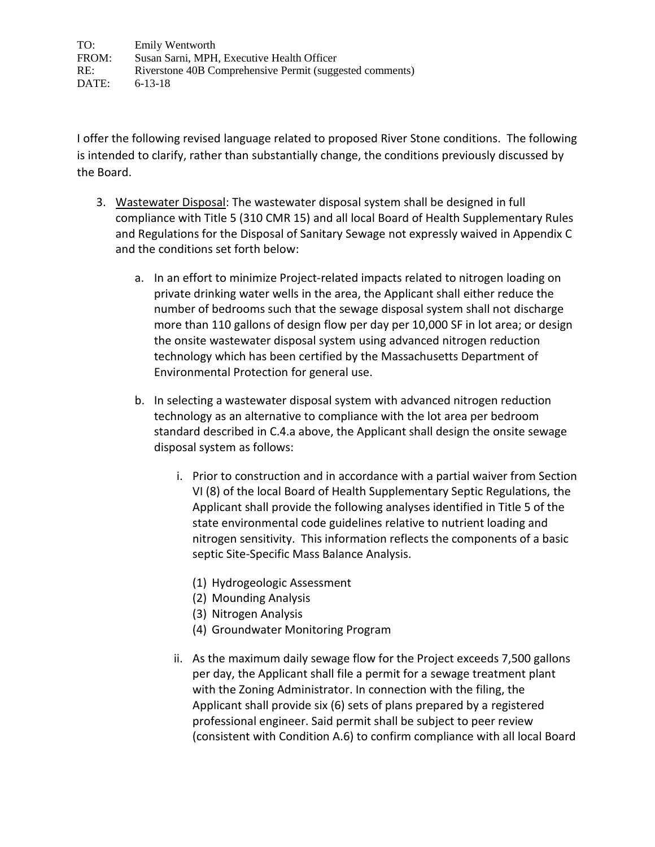TO: Emily Wentworth FROM: Susan Sarni, MPH, Executive Health Officer RE: Riverstone 40B Comprehensive Permit (suggested comments) DATE: 6-13-18

I offer the following revised language related to proposed River Stone conditions. The following is intended to clarify, rather than substantially change, the conditions previously discussed by the Board.

- 3. Wastewater Disposal: The wastewater disposal system shall be designed in full compliance with Title 5 (310 CMR 15) and all local Board of Health Supplementary Rules and Regulations for the Disposal of Sanitary Sewage not expressly waived in Appendix C and the conditions set forth below:
	- a. In an effort to minimize Project-related impacts related to nitrogen loading on private drinking water wells in the area, the Applicant shall either reduce the number of bedrooms such that the sewage disposal system shall not discharge more than 110 gallons of design flow per day per 10,000 SF in lot area; or design the onsite wastewater disposal system using advanced nitrogen reduction technology which has been certified by the Massachusetts Department of Environmental Protection for general use.
	- b. In selecting a wastewater disposal system with advanced nitrogen reduction technology as an alternative to compliance with the lot area per bedroom standard described in C.4.a above, the Applicant shall design the onsite sewage disposal system as follows:
		- i. Prior to construction and in accordance with a partial waiver from Section VI (8) of the local Board of Health Supplementary Septic Regulations, the Applicant shall provide the following analyses identified in Title 5 of the state environmental code guidelines relative to nutrient loading and nitrogen sensitivity. This information reflects the components of a basic septic Site-Specific Mass Balance Analysis.
			- (1) Hydrogeologic Assessment
			- (2) Mounding Analysis
			- (3) Nitrogen Analysis
			- (4) Groundwater Monitoring Program
		- ii. As the maximum daily sewage flow for the Project exceeds 7,500 gallons per day, the Applicant shall file a permit for a sewage treatment plant with the Zoning Administrator. In connection with the filing, the Applicant shall provide six (6) sets of plans prepared by a registered professional engineer. Said permit shall be subject to peer review (consistent with Condition A.6) to confirm compliance with all local Board